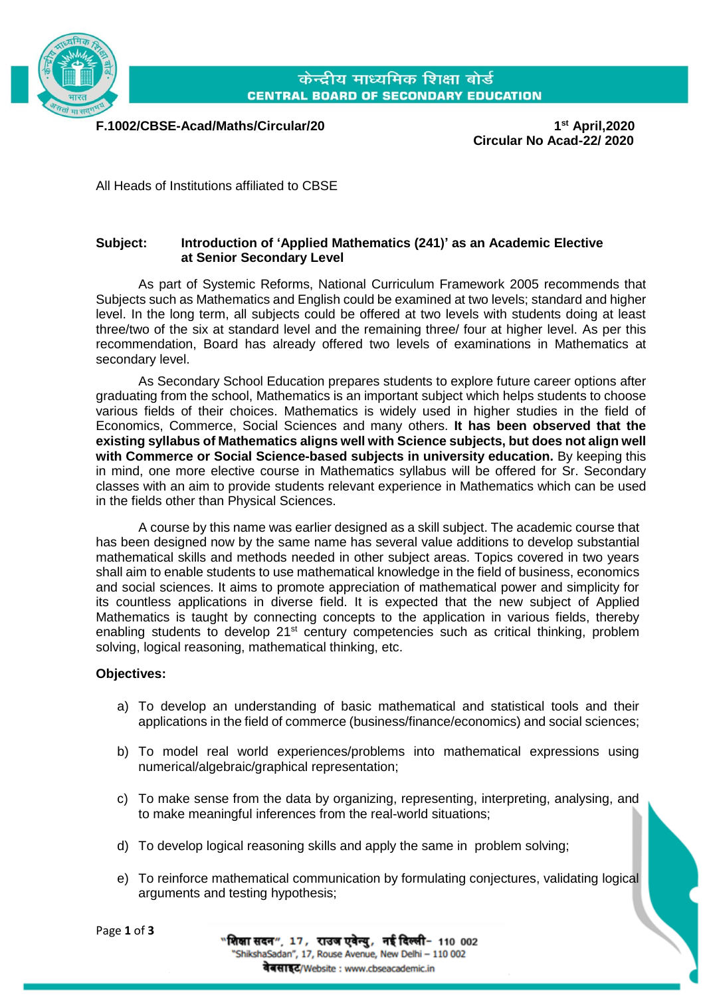

केन्द्रीय माध्यमिक शिक्षा बोर्ड **CENTRAL BOARD OF SECONDARY EDUCATION** 

**F.1002/CBSE-Acad/Maths/Circular/20 1**

**st April,2020 Circular No Acad-22/ 2020**

All Heads of Institutions affiliated to CBSE

### **Subject: Introduction of 'Applied Mathematics (241)' as an Academic Elective at Senior Secondary Level**

As part of Systemic Reforms, National Curriculum Framework 2005 recommends that Subjects such as Mathematics and English could be examined at two levels; standard and higher level. In the long term, all subjects could be offered at two levels with students doing at least three/two of the six at standard level and the remaining three/ four at higher level. As per this recommendation, Board has already offered two levels of examinations in Mathematics at secondary level.

As Secondary School Education prepares students to explore future career options after graduating from the school, Mathematics is an important subject which helps students to choose various fields of their choices. Mathematics is widely used in higher studies in the field of Economics, Commerce, Social Sciences and many others. **It has been observed that the existing syllabus of Mathematics aligns well with Science subjects, but does not align well with Commerce or Social Science-based subjects in university education.** By keeping this in mind, one more elective course in Mathematics syllabus will be offered for Sr. Secondary classes with an aim to provide students relevant experience in Mathematics which can be used in the fields other than Physical Sciences.

A course by this name was earlier designed as a skill subject. The academic course that has been designed now by the same name has several value additions to develop substantial mathematical skills and methods needed in other subject areas. Topics covered in two years shall aim to enable students to use mathematical knowledge in the field of business, economics and social sciences. It aims to promote appreciation of mathematical power and simplicity for its countless applications in diverse field. It is expected that the new subject of Applied Mathematics is taught by connecting concepts to the application in various fields, thereby enabling students to develop 21<sup>st</sup> century competencies such as critical thinking, problem solving, logical reasoning, mathematical thinking, etc.

### **Objectives:**

Page **1** of **3**

- a) To develop an understanding of basic mathematical and statistical tools and their applications in the field of commerce (business/finance/economics) and social sciences;
- b) To model real world experiences/problems into mathematical expressions using numerical/algebraic/graphical representation;
- c) To make sense from the data by organizing, representing, interpreting, analysing, and to make meaningful inferences from the real-world situations;
- d) To develop logical reasoning skills and apply the same in problem solving;
- e) To reinforce mathematical communication by formulating conjectures, validating logical arguments and testing hypothesis;

|                                              |  | "शिक्षा सदन", 17, राउज एवेन्यु, नई दिल्ली- 110 002    |
|----------------------------------------------|--|-------------------------------------------------------|
|                                              |  | "ShikshaSadan", 17, Rouse Avenue, New Delhi - 110 002 |
| <b>वेबसाइट/Website : www.cbseacademic.in</b> |  |                                                       |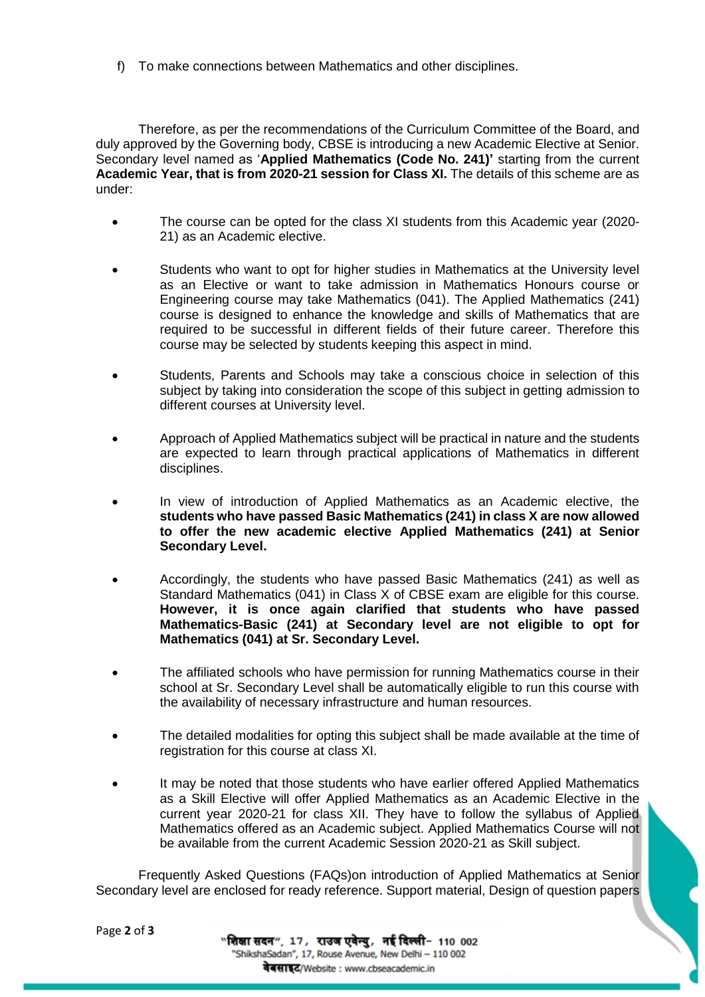f) To make connections between Mathematics and other disciplines.

Therefore, as per the recommendations of the Curriculum Committee of the Board, and duly approved by the Governing body, CBSE is introducing a new Academic Elective at Senior. Secondary level named as '**Applied Mathematics (Code No. 241)'** starting from the current **Academic Year, that is from 2020-21 session for Class XI.** The details of this scheme are as under:

- The course can be opted for the class XI students from this Academic year (2020- 21) as an Academic elective.
- Students who want to opt for higher studies in Mathematics at the University level as an Elective or want to take admission in Mathematics Honours course or Engineering course may take Mathematics (041). The Applied Mathematics (241) course is designed to enhance the knowledge and skills of Mathematics that are required to be successful in different fields of their future career. Therefore this course may be selected by students keeping this aspect in mind.
- Students, Parents and Schools may take a conscious choice in selection of this subject by taking into consideration the scope of this subject in getting admission to different courses at University level.
- Approach of Applied Mathematics subject will be practical in nature and the students are expected to learn through practical applications of Mathematics in different disciplines.
- In view of introduction of Applied Mathematics as an Academic elective, the **students who have passed Basic Mathematics (241) in class X are now allowed to offer the new academic elective Applied Mathematics (241) at Senior Secondary Level.**
- Accordingly, the students who have passed Basic Mathematics (241) as well as Standard Mathematics (041) in Class X of CBSE exam are eligible for this course. **However, it is once again clarified that students who have passed Mathematics-Basic (241) at Secondary level are not eligible to opt for Mathematics (041) at Sr. Secondary Level.**
- The affiliated schools who have permission for running Mathematics course in their school at Sr. Secondary Level shall be automatically eligible to run this course with the availability of necessary infrastructure and human resources.
- The detailed modalities for opting this subject shall be made available at the time of registration for this course at class XI.
- It may be noted that those students who have earlier offered Applied Mathematics as a Skill Elective will offer Applied Mathematics as an Academic Elective in the current year 2020-21 for class XII. They have to follow the syllabus of Applied Mathematics offered as an Academic subject. Applied Mathematics Course will not be available from the current Academic Session 2020-21 as Skill subject.

Frequently Asked Questions (FAQs)on introduction of Applied Mathematics at Senior Secondary level are enclosed for ready reference. Support material, Design of question papers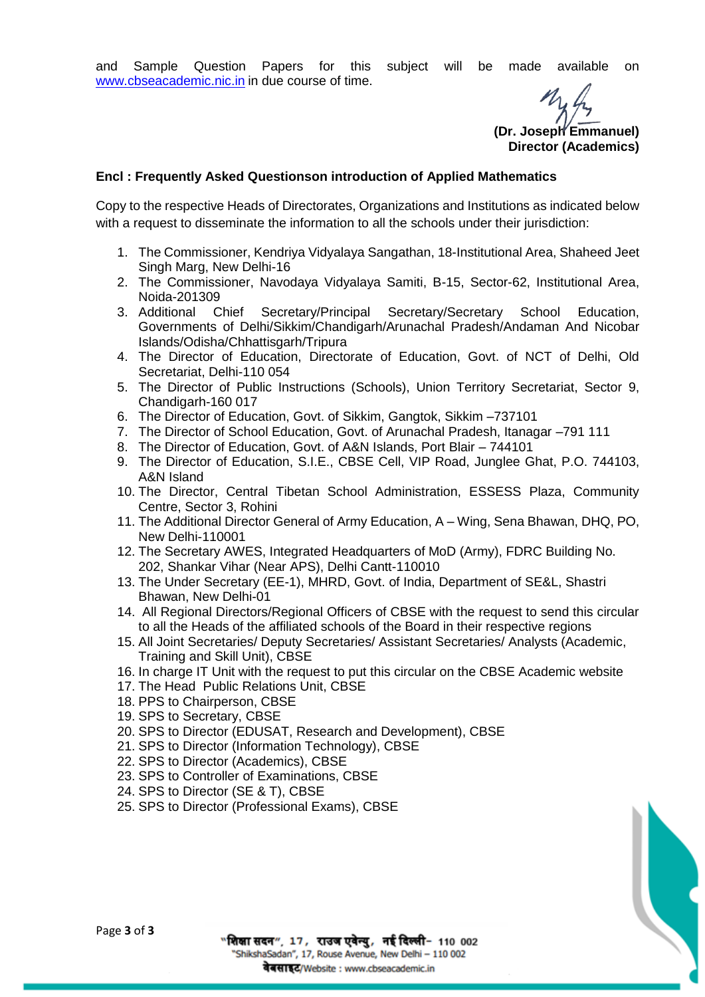and Sample Question Papers for this subject will be made available on [www.cbseacademic.nic.in](http://www.cbseacademic.nic.in/) in due course of time.

**(Dr. Joseph Emmanuel) Director (Academics)**

#### **Encl : Frequently Asked Questionson introduction of Applied Mathematics**

Copy to the respective Heads of Directorates, Organizations and Institutions as indicated below with a request to disseminate the information to all the schools under their jurisdiction:

- 1. The Commissioner, Kendriya Vidyalaya Sangathan, 18-Institutional Area, Shaheed Jeet Singh Marg, New Delhi-16
- 2. The Commissioner, Navodaya Vidyalaya Samiti, B-15, Sector-62, Institutional Area, Noida-201309
- 3. Additional Chief Secretary/Principal Secretary/Secretary School Education, Governments of Delhi/Sikkim/Chandigarh/Arunachal Pradesh/Andaman And Nicobar Islands/Odisha/Chhattisgarh/Tripura
- 4. The Director of Education, Directorate of Education, Govt. of NCT of Delhi, Old Secretariat, Delhi-110 054
- 5. The Director of Public Instructions (Schools), Union Territory Secretariat, Sector 9, Chandigarh-160 017
- 6. The Director of Education, Govt. of Sikkim, Gangtok, Sikkim –737101
- 7. The Director of School Education, Govt. of Arunachal Pradesh, Itanagar –791 111
- 8. The Director of Education, Govt. of A&N Islands, Port Blair 744101
- 9. The Director of Education, S.I.E., CBSE Cell, VIP Road, Junglee Ghat, P.O. 744103, A&N Island
- 10. The Director, Central Tibetan School Administration, ESSESS Plaza, Community Centre, Sector 3, Rohini
- 11. The Additional Director General of Army Education, A Wing, Sena Bhawan, DHQ, PO, New Delhi-110001
- 12. The Secretary AWES, Integrated Headquarters of MoD (Army), FDRC Building No. 202, Shankar Vihar (Near APS), Delhi Cantt-110010
- 13. The Under Secretary (EE-1), MHRD, Govt. of India, Department of SE&L, Shastri Bhawan, New Delhi-01
- 14. All Regional Directors/Regional Officers of CBSE with the request to send this circular to all the Heads of the affiliated schools of the Board in their respective regions
- 15. All Joint Secretaries/ Deputy Secretaries/ Assistant Secretaries/ Analysts (Academic, Training and Skill Unit), CBSE
- 16. In charge IT Unit with the request to put this circular on the CBSE Academic website
- 17. The Head Public Relations Unit, CBSE
- 18. PPS to Chairperson, CBSE
- 19. SPS to Secretary, CBSE
- 20. SPS to Director (EDUSAT, Research and Development), CBSE
- 21. SPS to Director (Information Technology), CBSE
- 22. SPS to Director (Academics), CBSE
- 23. SPS to Controller of Examinations, CBSE
- 24. SPS to Director (SE & T), CBSE
- 25. SPS to Director (Professional Exams), CBSE

"शिक्षा सदन", 17, राउज एवेन्यु, नई दिल्ली- 110 002 "ShikshaSadan", 17, Rouse Avenue, New Delhi - 110 002 वेबसाइट/Website : www.cbseacademic.in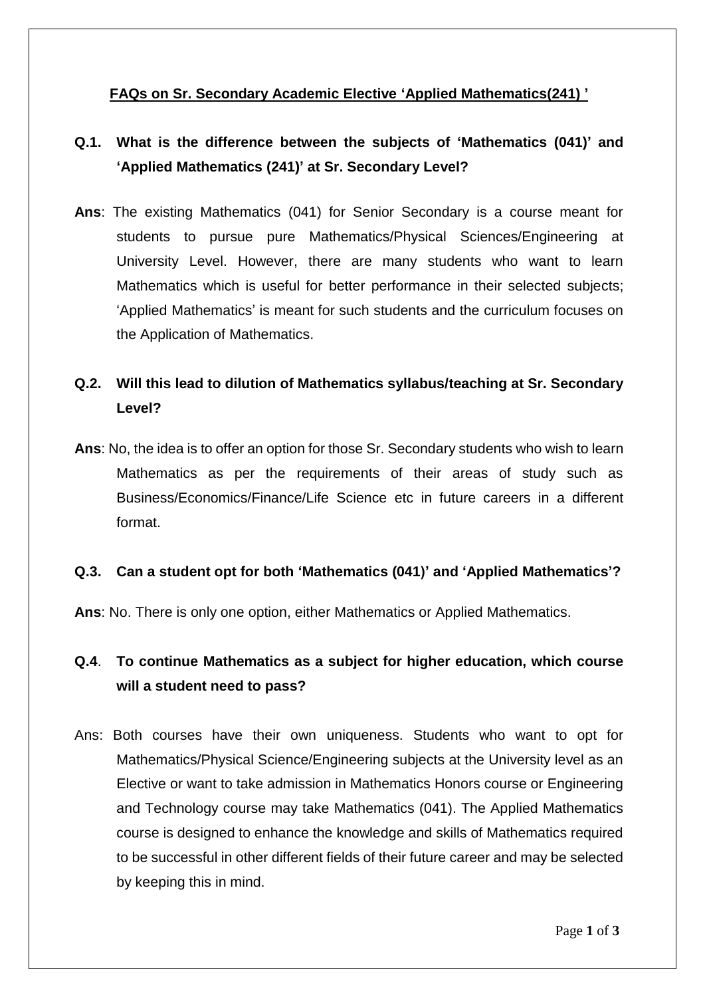## **FAQs on Sr. Secondary Academic Elective 'Applied Mathematics(241) '**

# **Q.1. What is the difference between the subjects of 'Mathematics (041)' and 'Applied Mathematics (241)' at Sr. Secondary Level?**

**Ans**: The existing Mathematics (041) for Senior Secondary is a course meant for students to pursue pure Mathematics/Physical Sciences/Engineering at University Level. However, there are many students who want to learn Mathematics which is useful for better performance in their selected subjects; 'Applied Mathematics' is meant for such students and the curriculum focuses on the Application of Mathematics.

# **Q.2. Will this lead to dilution of Mathematics syllabus/teaching at Sr. Secondary Level?**

**Ans**: No, the idea is to offer an option for those Sr. Secondary students who wish to learn Mathematics as per the requirements of their areas of study such as Business/Economics/Finance/Life Science etc in future careers in a different format.

### **Q.3. Can a student opt for both 'Mathematics (041)' and 'Applied Mathematics'?**

**Ans**: No. There is only one option, either Mathematics or Applied Mathematics.

## **Q.4**. **To continue Mathematics as a subject for higher education, which course will a student need to pass?**

Ans: Both courses have their own uniqueness. Students who want to opt for Mathematics/Physical Science/Engineering subjects at the University level as an Elective or want to take admission in Mathematics Honors course or Engineering and Technology course may take Mathematics (041). The Applied Mathematics course is designed to enhance the knowledge and skills of Mathematics required to be successful in other different fields of their future career and may be selected by keeping this in mind.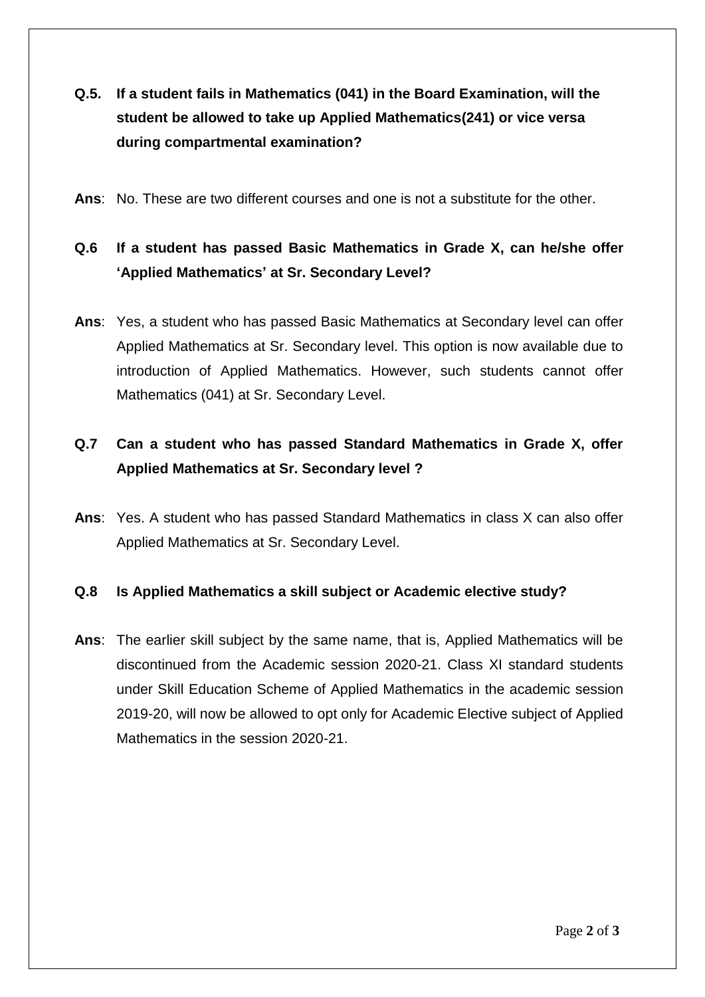- **Q.5. If a student fails in Mathematics (041) in the Board Examination, will the student be allowed to take up Applied Mathematics(241) or vice versa during compartmental examination?**
- **Ans**: No. These are two different courses and one is not a substitute for the other.

# **Q.6 If a student has passed Basic Mathematics in Grade X, can he/she offer 'Applied Mathematics' at Sr. Secondary Level?**

**Ans**: Yes, a student who has passed Basic Mathematics at Secondary level can offer Applied Mathematics at Sr. Secondary level. This option is now available due to introduction of Applied Mathematics. However, such students cannot offer Mathematics (041) at Sr. Secondary Level.

## **Q.7 Can a student who has passed Standard Mathematics in Grade X, offer Applied Mathematics at Sr. Secondary level ?**

**Ans**: Yes. A student who has passed Standard Mathematics in class X can also offer Applied Mathematics at Sr. Secondary Level.

### **Q.8 Is Applied Mathematics a skill subject or Academic elective study?**

**Ans**: The earlier skill subject by the same name, that is, Applied Mathematics will be discontinued from the Academic session 2020-21. Class XI standard students under Skill Education Scheme of Applied Mathematics in the academic session 2019-20, will now be allowed to opt only for Academic Elective subject of Applied Mathematics in the session 2020-21.